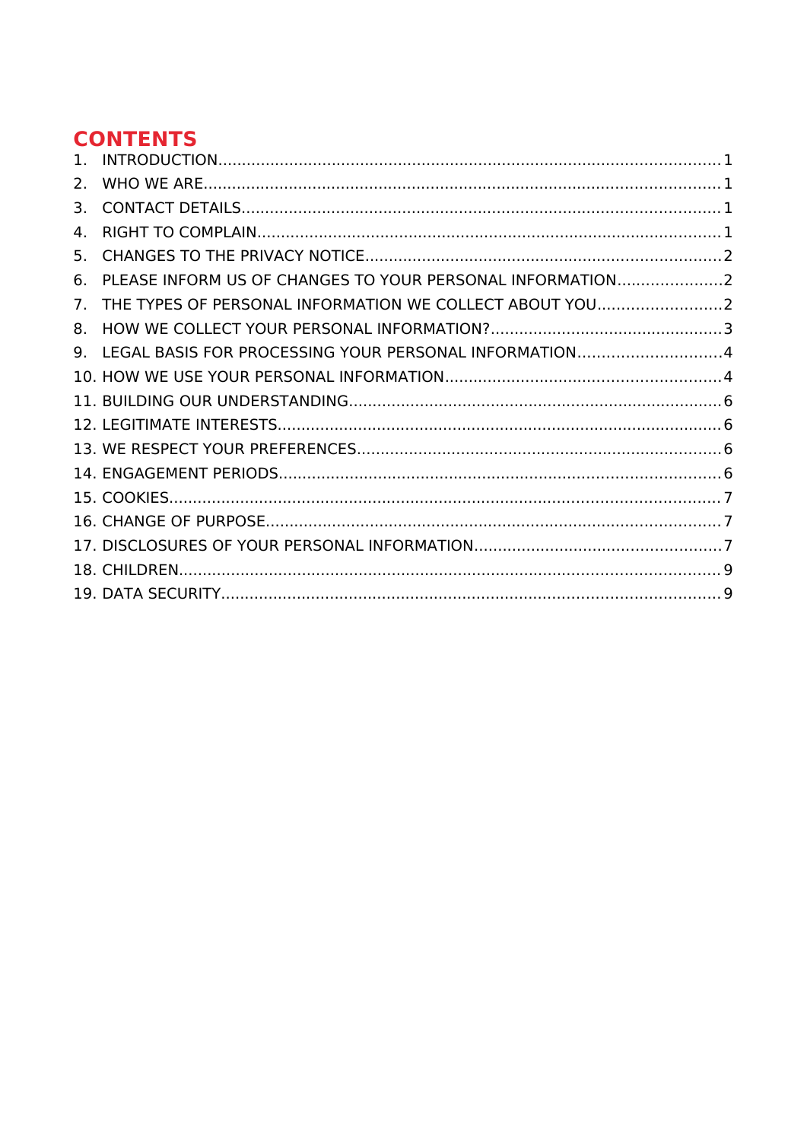# **CONTENTS**

| $\mathbf{1}$   |                                                           |  |
|----------------|-----------------------------------------------------------|--|
| 2.             |                                                           |  |
| 3.             |                                                           |  |
| 4.             |                                                           |  |
| 5.             |                                                           |  |
| ნ.             | PLEASE INFORM US OF CHANGES TO YOUR PERSONAL INFORMATION2 |  |
| 7 <sub>1</sub> | THE TYPES OF PERSONAL INFORMATION WE COLLECT ABOUT YOU2   |  |
| 8.             |                                                           |  |
| 9.             | LEGAL BASIS FOR PROCESSING YOUR PERSONAL INFORMATION4     |  |
|                |                                                           |  |
|                |                                                           |  |
|                |                                                           |  |
|                |                                                           |  |
|                |                                                           |  |
|                |                                                           |  |
|                |                                                           |  |
|                |                                                           |  |
|                |                                                           |  |
|                |                                                           |  |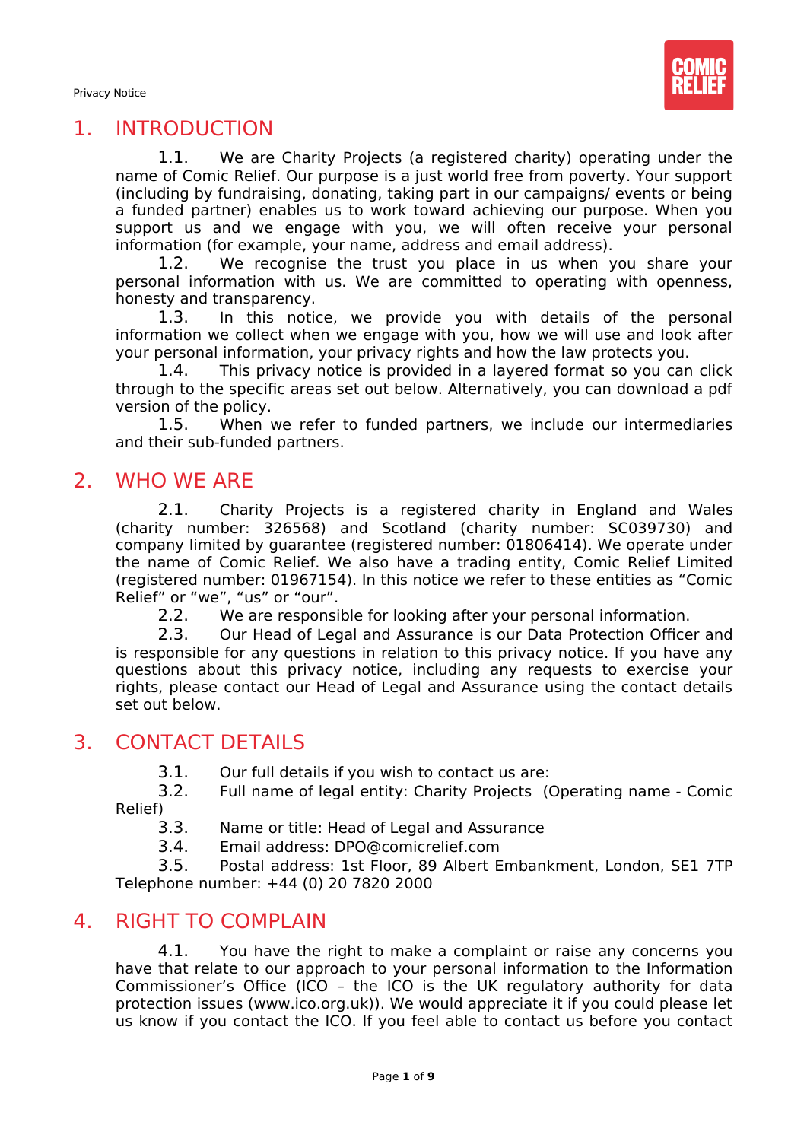

## 1. INTRODUCTION

<span id="page-1-0"></span>1.1. We are Charity Projects (a registered charity) operating under the name of Comic Relief. Our purpose is a just world free from poverty. Your support (including by fundraising, donating, taking part in our campaigns/ events or being a funded partner) enables us to work toward achieving our purpose. When you support us and we engage with you, we will often receive your personal information (for example, your name, address and email address).

1.2. We recognise the trust you place in us when you share your personal information with us. We are committed to operating with openness, honesty and transparency.

1.3. In this notice, we provide you with details of the personal information we collect when we engage with you, how we will use and look after your personal information, your privacy rights and how the law protects you.

1.4. This privacy notice is provided in a layered format so you can click through to the specific areas set out below. Alternatively, you can download a pdf version of the policy.

1.5. When we refer to funded partners, we include our intermediaries and their sub-funded partners.

## 2. WHO WE ARE

<span id="page-1-1"></span>2.1. Charity Projects is a registered charity in England and Wales (charity number: 326568) and Scotland (charity number: SC039730) and company limited by guarantee (registered number: 01806414). We operate under the name of Comic Relief. We also have a trading entity, Comic Relief Limited (registered number: 01967154). In this notice we refer to these entities as "Comic Relief" or "we", "us" or "our".

2.2. We are responsible for looking after your personal information.

2.3. Our Head of Legal and Assurance is our Data Protection Officer and is responsible for any questions in relation to this privacy notice. If you have any questions about this privacy notice, including any requests to exercise your rights, please contact our Head of Legal and Assurance using the contact details set out below.

## <span id="page-1-2"></span>3. CONTACT DETAILS

3.1. Our full details if you wish to contact us are:

3.2. Full name of legal entity: Charity Projects (Operating name - Comic Relief)<br>3.3.

- Name or title: Head of Legal and Assurance
- 3.4. Email address: DPO@comicrelief.com

3.5. Postal address: 1st Floor, 89 Albert Embankment, London, SE1 7TP Telephone number: +44 (0) 20 7820 2000

#### 4. RIGHT TO COMPLAIN

<span id="page-1-3"></span>4.1. You have the right to make a complaint or raise any concerns you have that relate to our approach to your personal information to the Information Commissioner's Office (ICO – the ICO is the UK regulatory authority for data protection issues (www.ico.org.uk)). We would appreciate it if you could please let us know if you contact the ICO. If you feel able to contact us before you contact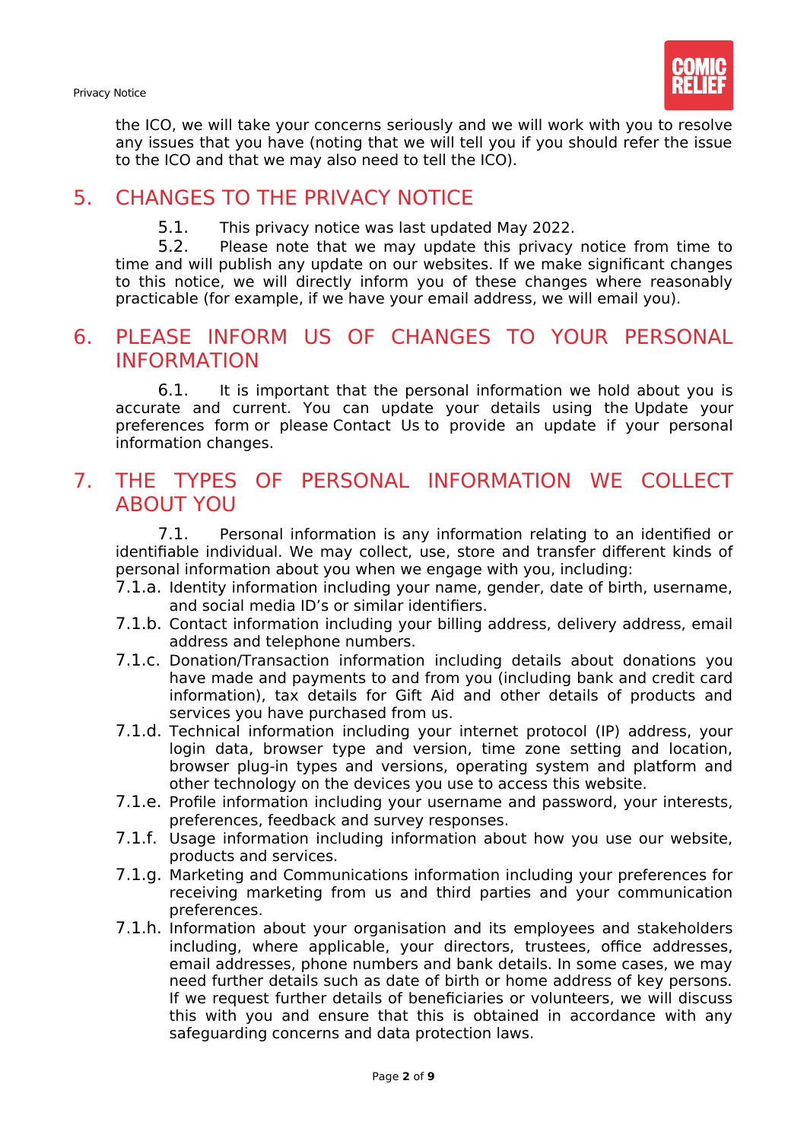Privacy Notice

the ICO, we will take your concerns seriously and we will work with you to resolve any issues that you have (noting that we will tell you if you should refer the issue to the ICO and that we may also need to tell the ICO).

# <span id="page-2-0"></span>5. CHANGES TO THE PRIVACY NOTICE

5.1. This privacy notice was last updated May 2022.

5.2. Please note that we may update this privacy notice from time to time and will publish any update on our websites. If we make significant changes to this notice, we will directly inform you of these changes where reasonably practicable (for example, if we have your email address, we will email you).

#### <span id="page-2-1"></span>6. PLEASE INFORM US OF CHANGES TO YOUR PERSONAL INFORMATION

6.1. It is important that the personal information we hold about you is accurate and current. You can update your details using the Update your preferences form or please Contact Us to provide an update if your personal information changes.

# <span id="page-2-2"></span>7. THE TYPES OF PERSONAL INFORMATION WE COLLECT ABOUT YOU

7.1. Personal information is any information relating to an identified or identifiable individual. We may collect, use, store and transfer different kinds of personal information about you when we engage with you, including:

- 7.1.a. Identity information including your name, gender, date of birth, username, and social media ID's or similar identifiers.
- 7.1.b. Contact information including your billing address, delivery address, email address and telephone numbers.
- 7.1.c. Donation/Transaction information including details about donations you have made and payments to and from you (including bank and credit card information), tax details for Gift Aid and other details of products and services you have purchased from us.
- 7.1.d. Technical information including your internet protocol (IP) address, your login data, browser type and version, time zone setting and location, browser plug-in types and versions, operating system and platform and other technology on the devices you use to access this website.
- 7.1.e. Profile information including your username and password, your interests, preferences, feedback and survey responses.
- 7.1.f. Usage information including information about how you use our website, products and services.
- 7.1.g. Marketing and Communications information including your preferences for receiving marketing from us and third parties and your communication preferences.
- 7.1.h. Information about your organisation and its employees and stakeholders including, where applicable, your directors, trustees, office addresses, email addresses, phone numbers and bank details. In some cases, we may need further details such as date of birth or home address of key persons. If we request further details of beneficiaries or volunteers, we will discuss this with you and ensure that this is obtained in accordance with any safeguarding concerns and data protection laws.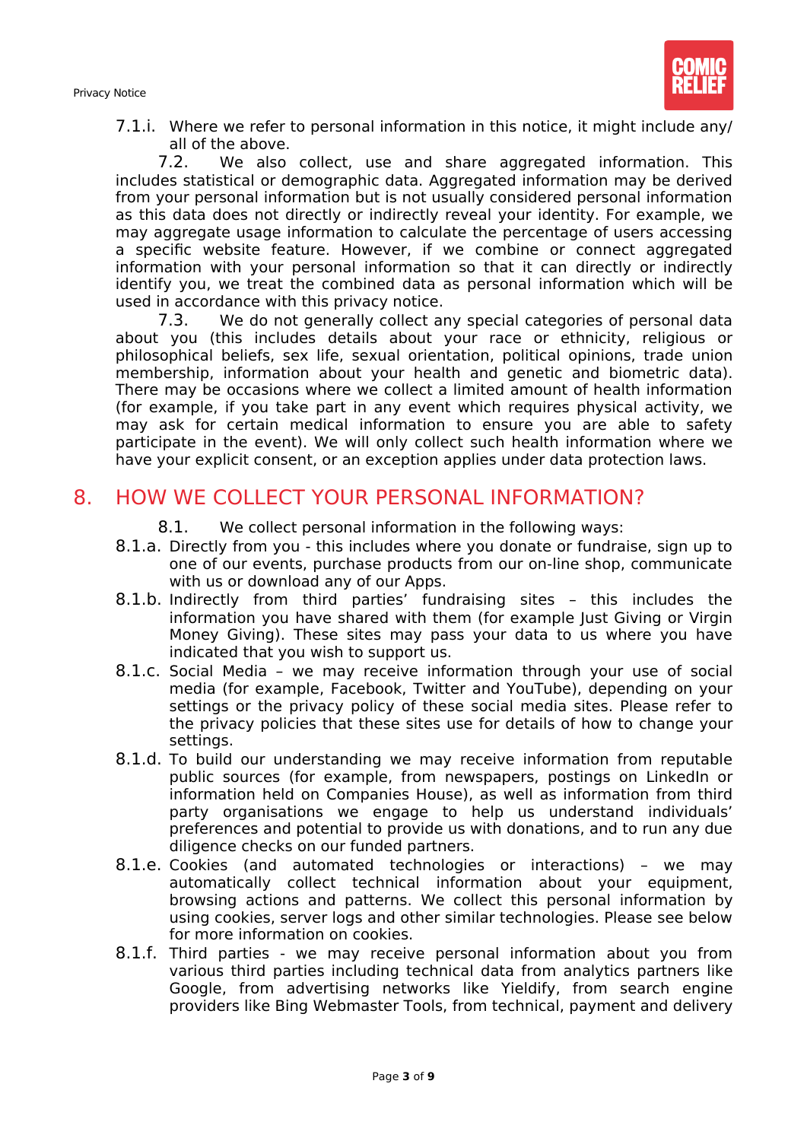

7.1.i. Where we refer to personal information in this notice, it might include any/ all of the above.

7.2. We also collect, use and share aggregated information. This includes statistical or demographic data. Aggregated information may be derived from your personal information but is not usually considered personal information as this data does not directly or indirectly reveal your identity. For example, we may aggregate usage information to calculate the percentage of users accessing a specific website feature. However, if we combine or connect aggregated information with your personal information so that it can directly or indirectly identify you, we treat the combined data as personal information which will be used in accordance with this privacy notice.

7.3. We do not generally collect any special categories of personal data about you (this includes details about your race or ethnicity, religious or philosophical beliefs, sex life, sexual orientation, political opinions, trade union membership, information about your health and genetic and biometric data). There may be occasions where we collect a limited amount of health information (for example, if you take part in any event which requires physical activity, we may ask for certain medical information to ensure you are able to safety participate in the event). We will only collect such health information where we have your explicit consent, or an exception applies under data protection laws.

## <span id="page-3-0"></span>8. HOW WE COLLECT YOUR PERSONAL INFORMATION?

- 8.1. We collect personal information in the following ways:
- 8.1.a. Directly from you this includes where you donate or fundraise, sign up to one of our events, purchase products from our on-line shop, communicate with us or download any of our Apps.
- 8.1.b. Indirectly from third parties' fundraising sites this includes the information you have shared with them (for example Just Giving or Virgin Money Giving). These sites may pass your data to us where you have indicated that you wish to support us.
- 8.1.c. Social Media we may receive information through your use of social media (for example, Facebook, Twitter and YouTube), depending on your settings or the privacy policy of these social media sites. Please refer to the privacy policies that these sites use for details of how to change your settings.
- 8.1.d. To build our understanding we may receive information from reputable public sources (for example, from newspapers, postings on LinkedIn or information held on Companies House), as well as information from third party organisations we engage to help us understand individuals' preferences and potential to provide us with donations, and to run any due diligence checks on our funded partners.
- 8.1.e. Cookies (and automated technologies or interactions) we may automatically collect technical information about your equipment, browsing actions and patterns. We collect this personal information by using cookies, server logs and other similar technologies. Please see below for more information on cookies.
- 8.1.f. Third parties we may receive personal information about you from various third parties including technical data from analytics partners like Google, from advertising networks like Yieldify, from search engine providers like Bing Webmaster Tools, from technical, payment and delivery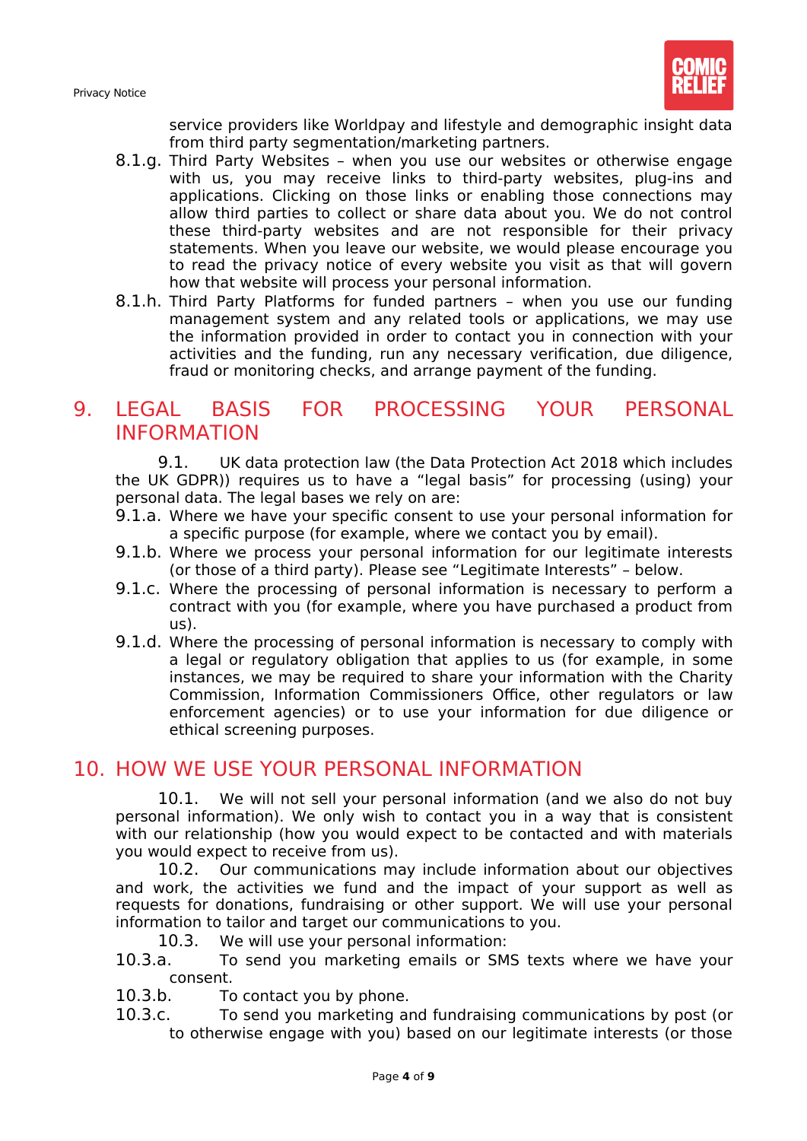

service providers like Worldpay and lifestyle and demographic insight data from third party segmentation/marketing partners.

- 8.1.g. Third Party Websites when you use our websites or otherwise engage with us, you may receive links to third-party websites, plug-ins and applications. Clicking on those links or enabling those connections may allow third parties to collect or share data about you. We do not control these third-party websites and are not responsible for their privacy statements. When you leave our website, we would please encourage you to read the privacy notice of every website you visit as that will govern how that website will process your personal information.
- 8.1.h. Third Party Platforms for funded partners when you use our funding management system and any related tools or applications, we may use the information provided in order to contact you in connection with your activities and the funding, run any necessary verification, due diligence, fraud or monitoring checks, and arrange payment of the funding.

# <span id="page-4-0"></span>9. LEGAL BASIS FOR PROCESSING YOUR PERSONAL INFORMATION

9.1. UK data protection law (the Data Protection Act 2018 which includes the UK GDPR)) requires us to have a "legal basis" for processing (using) your personal data. The legal bases we rely on are:

- 9.1.a. Where we have your specific consent to use your personal information for a specific purpose (for example, where we contact you by email).
- 9.1.b. Where we process your personal information for our legitimate interests (or those of a third party). Please see "Legitimate Interests" – below.
- 9.1.c. Where the processing of personal information is necessary to perform a contract with you (for example, where you have purchased a product from us).
- 9.1.d. Where the processing of personal information is necessary to comply with a legal or regulatory obligation that applies to us (for example, in some instances, we may be required to share your information with the Charity Commission, Information Commissioners Office, other regulators or law enforcement agencies) or to use your information for due diligence or ethical screening purposes.

## 10. HOW WE USE YOUR PERSONAL INFORMATION

<span id="page-4-1"></span>10.1. We will not sell your personal information (and we also do not buy personal information). We only wish to contact you in a way that is consistent with our relationship (how you would expect to be contacted and with materials you would expect to receive from us).

10.2. Our communications may include information about our objectives and work, the activities we fund and the impact of your support as well as requests for donations, fundraising or other support. We will use your personal information to tailor and target our communications to you.

- 10.3. We will use your personal information:
- 10.3.a. To send you marketing emails or SMS texts where we have your consent.
- 10.3.b. To contact you by phone.
- 10.3.c. To send you marketing and fundraising communications by post (or to otherwise engage with you) based on our legitimate interests (or those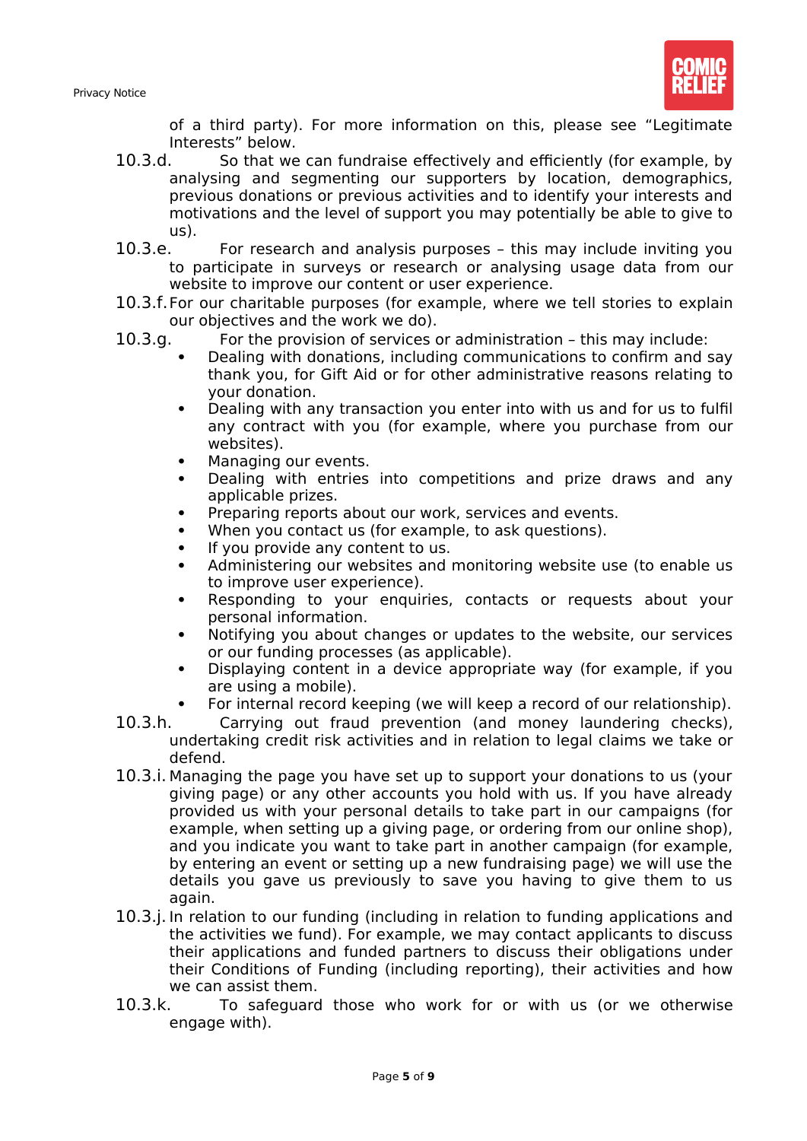

of a third party). For more information on this, please see "Legitimate Interests" below.

- 10.3.d. So that we can fundraise effectively and efficiently (for example, by analysing and segmenting our supporters by location, demographics, previous donations or previous activities and to identify your interests and motivations and the level of support you may potentially be able to give to us).
- 10.3.e. For research and analysis purposes this may include inviting you to participate in surveys or research or analysing usage data from our website to improve our content or user experience.
- 10.3.f.For our charitable purposes (for example, where we tell stories to explain our objectives and the work we do).
- 10.3.g. For the provision of services or administration this may include:
	- Dealing with donations, including communications to confirm and say thank you, for Gift Aid or for other administrative reasons relating to your donation.
	- Dealing with any transaction you enter into with us and for us to fulfil any contract with you (for example, where you purchase from our websites).
	- Managing our events.
	- Dealing with entries into competitions and prize draws and any applicable prizes.
	- Preparing reports about our work, services and events.
	- When you contact us (for example, to ask questions).
	- If you provide any content to us.
	- Administering our websites and monitoring website use (to enable us to improve user experience).
	- Responding to your enquiries, contacts or requests about your personal information.
	- Notifying you about changes or updates to the website, our services or our funding processes (as applicable).
	- Displaying content in a device appropriate way (for example, if you are using a mobile).
	- For internal record keeping (we will keep a record of our relationship).
- 10.3.h. Carrying out fraud prevention (and money laundering checks), undertaking credit risk activities and in relation to legal claims we take or defend.
- 10.3.i. Managing the page you have set up to support your donations to us (your giving page) or any other accounts you hold with us. If you have already provided us with your personal details to take part in our campaigns (for example, when setting up a giving page, or ordering from our online shop), and you indicate you want to take part in another campaign (for example, by entering an event or setting up a new fundraising page) we will use the details you gave us previously to save you having to give them to us again.
- 10.3.j. In relation to our funding (including in relation to funding applications and the activities we fund). For example, we may contact applicants to discuss their applications and funded partners to discuss their obligations under their Conditions of Funding (including reporting), their activities and how we can assist them.
- 10.3.k. To safeguard those who work for or with us (or we otherwise engage with).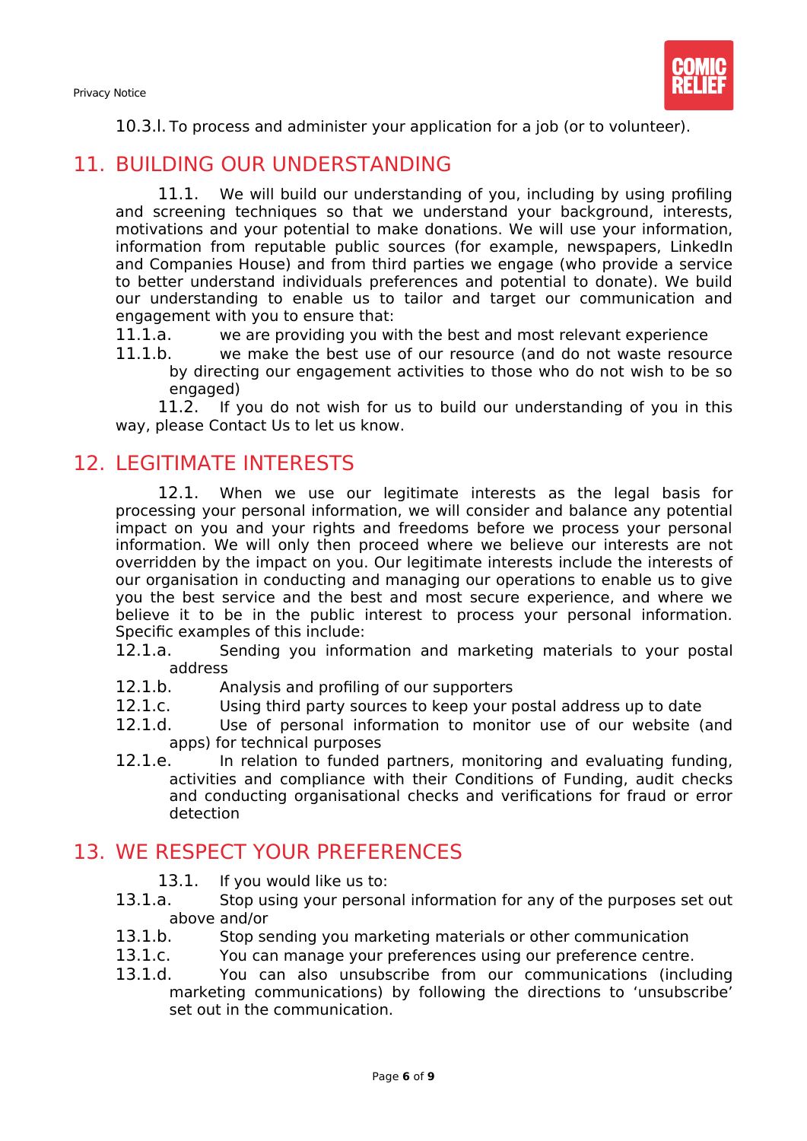

10.3.l. To process and administer your application for a job (or to volunteer).

## 11. BUILDING OUR UNDERSTANDING

<span id="page-6-0"></span>11.1. We will build our understanding of you, including by using profiling and screening techniques so that we understand your background, interests, motivations and your potential to make donations. We will use your information, information from reputable public sources (for example, newspapers, LinkedIn and Companies House) and from third parties we engage (who provide a service to better understand individuals preferences and potential to donate). We build our understanding to enable us to tailor and target our communication and engagement with you to ensure that:

11.1.a. we are providing you with the best and most relevant experience<br>11.1.b we make the best use of our resource (and do not waste resour

we make the best use of our resource (and do not waste resource by directing our engagement activities to those who do not wish to be so engaged)

11.2. If you do not wish for us to build our understanding of you in this way, please Contact Us to let us know.

## 12. LEGITIMATE INTERESTS

<span id="page-6-1"></span>12.1. When we use our legitimate interests as the legal basis for processing your personal information, we will consider and balance any potential impact on you and your rights and freedoms before we process your personal information. We will only then proceed where we believe our interests are not overridden by the impact on you. Our legitimate interests include the interests of our organisation in conducting and managing our operations to enable us to give you the best service and the best and most secure experience, and where we believe it to be in the public interest to process your personal information. Specific examples of this include:

- 12.1.a. Sending you information and marketing materials to your postal address
- 12.1.b. Analysis and profiling of our supporters
- 12.1.c. Using third party sources to keep your postal address up to date
- 12.1.d. Use of personal information to monitor use of our website (and apps) for technical purposes
- 12.1.e. In relation to funded partners, monitoring and evaluating funding, activities and compliance with their Conditions of Funding, audit checks and conducting organisational checks and verifications for fraud or error detection

## 13. WE RESPECT YOUR PREFERENCES

- 
- <span id="page-6-2"></span>13.1. If you would like us to:<br>13.1.a. Stop using your person Stop using your personal information for any of the purposes set out above and/or
- 13.1.b. Stop sending you marketing materials or other communication
- 13.1.c. You can manage your preferences using our preference centre.
- 13.1.d. You can also unsubscribe from our communications (including marketing communications) by following the directions to 'unsubscribe' set out in the communication.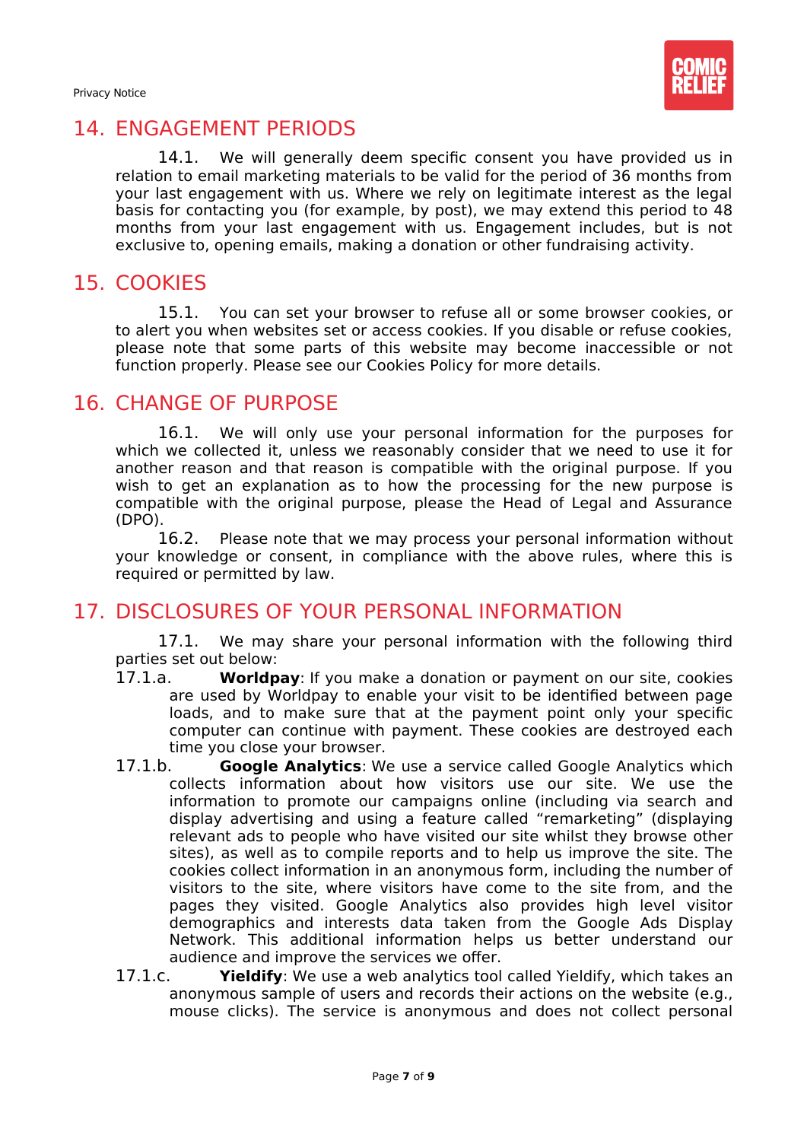

## 14. ENGAGEMENT PERIODS

<span id="page-7-0"></span>14.1. We will generally deem specific consent you have provided us in relation to email marketing materials to be valid for the period of 36 months from your last engagement with us. Where we rely on legitimate interest as the legal basis for contacting you (for example, by post), we may extend this period to 48 months from your last engagement with us. Engagement includes, but is not exclusive to, opening emails, making a donation or other fundraising activity.

## 15. COOKIES

<span id="page-7-1"></span>15.1. You can set your browser to refuse all or some browser cookies, or to alert you when websites set or access cookies. If you disable or refuse cookies, please note that some parts of this website may become inaccessible or not function properly. Please see our Cookies Policy for more details.

## 16. CHANGE OF PURPOSE

<span id="page-7-2"></span>16.1. We will only use your personal information for the purposes for which we collected it, unless we reasonably consider that we need to use it for another reason and that reason is compatible with the original purpose. If you wish to get an explanation as to how the processing for the new purpose is compatible with the original purpose, please the Head of Legal and Assurance (DPO).

16.2. Please note that we may process your personal information without your knowledge or consent, in compliance with the above rules, where this is required or permitted by law.

# 17. DISCLOSURES OF YOUR PERSONAL INFORMATION

<span id="page-7-3"></span>17.1. We may share your personal information with the following third parties set out below:

- 17.1.a. **Worldpay**: If you make a donation or payment on our site, cookies are used by Worldpay to enable your visit to be identified between page loads, and to make sure that at the payment point only your specific computer can continue with payment. These cookies are destroyed each time you close your browser.
- 17.1.b. **Google Analytics**: We use a service called Google Analytics which collects information about how visitors use our site. We use the information to promote our campaigns online (including via search and display advertising and using a feature called "remarketing" (displaying relevant ads to people who have visited our site whilst they browse other sites), as well as to compile reports and to help us improve the site. The cookies collect information in an anonymous form, including the number of visitors to the site, where visitors have come to the site from, and the pages they visited. Google Analytics also provides high level visitor demographics and interests data taken from the Google Ads Display Network. This additional information helps us better understand our audience and improve the services we offer.
- 17.1.c. **Yieldify**: We use a web analytics tool called Yieldify, which takes an anonymous sample of users and records their actions on the website (e.g., mouse clicks). The service is anonymous and does not collect personal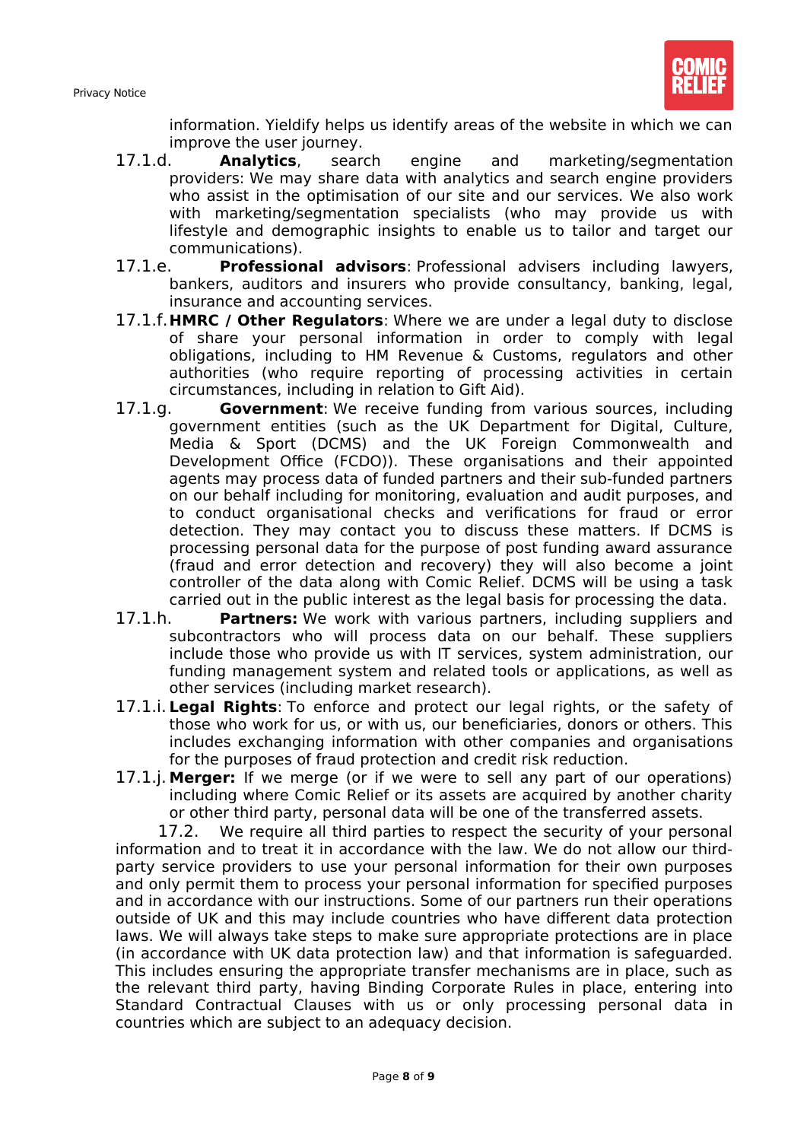

information. Yieldify helps us identify areas of the website in which we can improve the user journey.

- 17.1.d. **Analytics**, search engine and marketing/segmentation providers: We may share data with analytics and search engine providers who assist in the optimisation of our site and our services. We also work with marketing/segmentation specialists (who may provide us with lifestyle and demographic insights to enable us to tailor and target our communications).
- 17.1.e. **Professional advisors**: Professional advisers including lawyers, bankers, auditors and insurers who provide consultancy, banking, legal, insurance and accounting services.
- 17.1.f.**HMRC / Other Regulators**: Where we are under a legal duty to disclose of share your personal information in order to comply with legal obligations, including to HM Revenue & Customs, regulators and other authorities (who require reporting of processing activities in certain circumstances, including in relation to Gift Aid).
- 17.1.g. **Government**: We receive funding from various sources, including government entities (such as the UK Department for Digital, Culture, Media & Sport (DCMS) and the UK Foreign Commonwealth and Development Office (FCDO)). These organisations and their appointed agents may process data of funded partners and their sub-funded partners on our behalf including for monitoring, evaluation and audit purposes, and to conduct organisational checks and verifications for fraud or error detection. They may contact you to discuss these matters. If DCMS is processing personal data for the purpose of post funding award assurance (fraud and error detection and recovery) they will also become a joint controller of the data along with Comic Relief. DCMS will be using a task carried out in the public interest as the legal basis for processing the data.
- 17.1.h. **Partners:** We work with various partners, including suppliers and subcontractors who will process data on our behalf. These suppliers include those who provide us with IT services, system administration, our funding management system and related tools or applications, as well as other services (including market research).
- 17.1.i. **Legal Rights**: To enforce and protect our legal rights, or the safety of those who work for us, or with us, our beneficiaries, donors or others. This includes exchanging information with other companies and organisations for the purposes of fraud protection and credit risk reduction.
- 17.1.j. **Merger:** If we merge (or if we were to sell any part of our operations) including where Comic Relief or its assets are acquired by another charity or other third party, personal data will be one of the transferred assets.

17.2. We require all third parties to respect the security of your personal information and to treat it in accordance with the law. We do not allow our thirdparty service providers to use your personal information for their own purposes and only permit them to process your personal information for specified purposes and in accordance with our instructions. Some of our partners run their operations outside of UK and this may include countries who have different data protection laws. We will always take steps to make sure appropriate protections are in place (in accordance with UK data protection law) and that information is safeguarded. This includes ensuring the appropriate transfer mechanisms are in place, such as the relevant third party, having Binding Corporate Rules in place, entering into Standard Contractual Clauses with us or only processing personal data in countries which are subject to an adequacy decision.